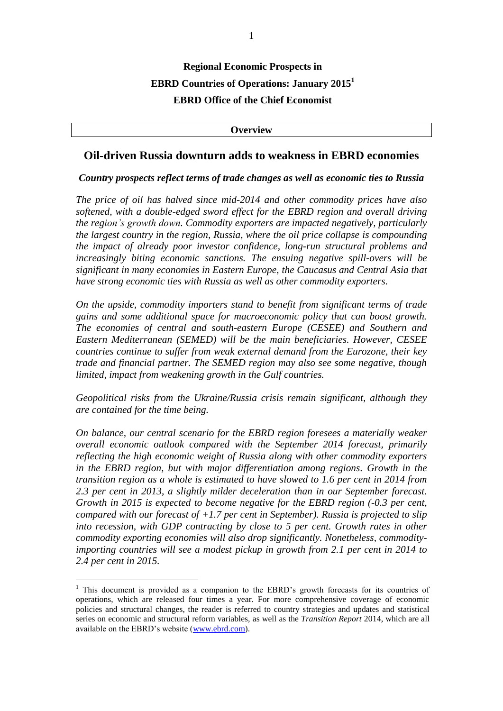# **Regional Economic Prospects in EBRD Countries of Operations: January 2015<sup>1</sup> EBRD Office of the Chief Economist**

**Overview**

## **Oil-driven Russia downturn adds to weakness in EBRD economies**

### *Country prospects reflect terms of trade changes as well as economic ties to Russia*

*The price of oil has halved since mid-2014 and other commodity prices have also softened, with a double-edged sword effect for the EBRD region and overall driving the region's growth down. Commodity exporters are impacted negatively, particularly the largest country in the region, Russia, where the oil price collapse is compounding the impact of already poor investor confidence, long-run structural problems and increasingly biting economic sanctions. The ensuing negative spill-overs will be significant in many economies in Eastern Europe, the Caucasus and Central Asia that have strong economic ties with Russia as well as other commodity exporters.*

*On the upside, commodity importers stand to benefit from significant terms of trade gains and some additional space for macroeconomic policy that can boost growth. The economies of central and south-eastern Europe (CESEE) and Southern and Eastern Mediterranean (SEMED) will be the main beneficiaries. However, CESEE countries continue to suffer from weak external demand from the Eurozone, their key trade and financial partner. The SEMED region may also see some negative, though limited, impact from weakening growth in the Gulf countries.* 

*Geopolitical risks from the Ukraine/Russia crisis remain significant, although they are contained for the time being.* 

*On balance, our central scenario for the EBRD region foresees a materially weaker overall economic outlook compared with the September 2014 forecast, primarily reflecting the high economic weight of Russia along with other commodity exporters in the EBRD region, but with major differentiation among regions. Growth in the transition region as a whole is estimated to have slowed to 1.6 per cent in 2014 from 2.3 per cent in 2013, a slightly milder deceleration than in our September forecast. Growth in 2015 is expected to become negative for the EBRD region (-0.3 per cent, compared with our forecast of +1.7 per cent in September). Russia is projected to slip into recession, with GDP contracting by close to 5 per cent. Growth rates in other commodity exporting economies will also drop significantly. Nonetheless, commodityimporting countries will see a modest pickup in growth from 2.1 per cent in 2014 to 2.4 per cent in 2015.* 

 $\overline{a}$ 

 $<sup>1</sup>$  This document is provided as a companion to the EBRD's growth forecasts for its countries of</sup> operations, which are released four times a year. For more comprehensive coverage of economic policies and structural changes, the reader is referred to country strategies and updates and statistical series on economic and structural reform variables, as well as the *Transition Report* 2014, which are all available on the EBRD's website [\(www.ebrd.com\)](http://www.ebrd.com/).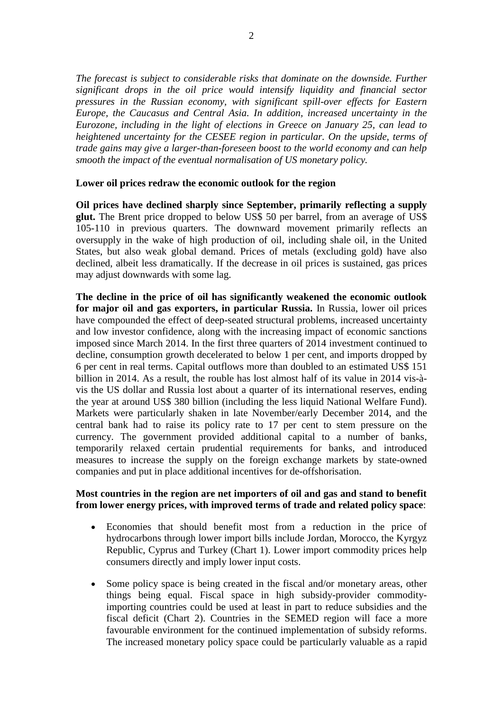*The forecast is subject to considerable risks that dominate on the downside. Further significant drops in the oil price would intensify liquidity and financial sector pressures in the Russian economy, with significant spill-over effects for Eastern Europe, the Caucasus and Central Asia. In addition, increased uncertainty in the Eurozone, including in the light of elections in Greece on January 25, can lead to heightened uncertainty for the CESEE region in particular. On the upside, terms of trade gains may give a larger-than-foreseen boost to the world economy and can help smooth the impact of the eventual normalisation of US monetary policy.* 

## **Lower oil prices redraw the economic outlook for the region**

**Oil prices have declined sharply since September, primarily reflecting a supply glut.** The Brent price dropped to below US\$ 50 per barrel, from an average of US\$ 105-110 in previous quarters. The downward movement primarily reflects an oversupply in the wake of high production of oil, including shale oil, in the United States, but also weak global demand. Prices of metals (excluding gold) have also declined, albeit less dramatically. If the decrease in oil prices is sustained, gas prices may adjust downwards with some lag.

**The decline in the price of oil has significantly weakened the economic outlook for major oil and gas exporters, in particular Russia.** In Russia, lower oil prices have compounded the effect of deep-seated structural problems, increased uncertainty and low investor confidence, along with the increasing impact of economic sanctions imposed since March 2014. In the first three quarters of 2014 investment continued to decline, consumption growth decelerated to below 1 per cent, and imports dropped by 6 per cent in real terms. Capital outflows more than doubled to an estimated US\$ 151 billion in 2014. As a result, the rouble has lost almost half of its value in 2014 vis-àvis the US dollar and Russia lost about a quarter of its international reserves, ending the year at around US\$ 380 billion (including the less liquid National Welfare Fund). Markets were particularly shaken in late November/early December 2014, and the central bank had to raise its policy rate to 17 per cent to stem pressure on the currency. The government provided additional capital to a number of banks, temporarily relaxed certain prudential requirements for banks, and introduced measures to increase the supply on the foreign exchange markets by state-owned companies and put in place additional incentives for de-offshorisation.

## **Most countries in the region are net importers of oil and gas and stand to benefit from lower energy prices, with improved terms of trade and related policy space**:

- Economies that should benefit most from a reduction in the price of hydrocarbons through lower import bills include Jordan, Morocco, the Kyrgyz Republic, Cyprus and Turkey (Chart 1). Lower import commodity prices help consumers directly and imply lower input costs.
- Some policy space is being created in the fiscal and/or monetary areas, other things being equal. Fiscal space in high subsidy-provider commodityimporting countries could be used at least in part to reduce subsidies and the fiscal deficit (Chart 2). Countries in the SEMED region will face a more favourable environment for the continued implementation of subsidy reforms. The increased monetary policy space could be particularly valuable as a rapid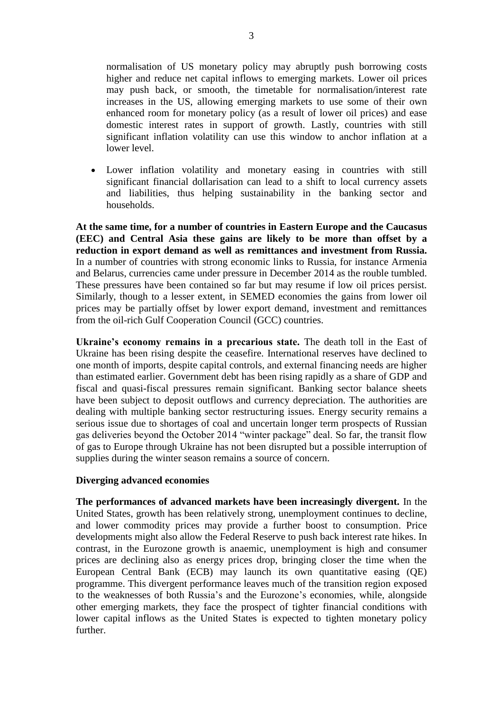normalisation of US monetary policy may abruptly push borrowing costs higher and reduce net capital inflows to emerging markets. Lower oil prices may push back, or smooth, the timetable for normalisation/interest rate increases in the US, allowing emerging markets to use some of their own enhanced room for monetary policy (as a result of lower oil prices) and ease domestic interest rates in support of growth. Lastly, countries with still significant inflation volatility can use this window to anchor inflation at a lower level.

 Lower inflation volatility and monetary easing in countries with still significant financial dollarisation can lead to a shift to local currency assets and liabilities, thus helping sustainability in the banking sector and households.

**At the same time, for a number of countries in Eastern Europe and the Caucasus (EEC) and Central Asia these gains are likely to be more than offset by a reduction in export demand as well as remittances and investment from Russia.**  In a number of countries with strong economic links to Russia, for instance Armenia and Belarus, currencies came under pressure in December 2014 as the rouble tumbled. These pressures have been contained so far but may resume if low oil prices persist. Similarly, though to a lesser extent, in SEMED economies the gains from lower oil prices may be partially offset by lower export demand, investment and remittances from the oil-rich Gulf Cooperation Council (GCC) countries.

**Ukraine's economy remains in a precarious state.** The death toll in the East of Ukraine has been rising despite the ceasefire. International reserves have declined to one month of imports, despite capital controls, and external financing needs are higher than estimated earlier. Government debt has been rising rapidly as a share of GDP and fiscal and quasi-fiscal pressures remain significant. Banking sector balance sheets have been subject to deposit outflows and currency depreciation. The authorities are dealing with multiple banking sector restructuring issues. Energy security remains a serious issue due to shortages of coal and uncertain longer term prospects of Russian gas deliveries beyond the October 2014 "winter package" deal. So far, the transit flow of gas to Europe through Ukraine has not been disrupted but a possible interruption of supplies during the winter season remains a source of concern.

### **Diverging advanced economies**

**The performances of advanced markets have been increasingly divergent.** In the United States, growth has been relatively strong, unemployment continues to decline, and lower commodity prices may provide a further boost to consumption. Price developments might also allow the Federal Reserve to push back interest rate hikes. In contrast, in the Eurozone growth is anaemic, unemployment is high and consumer prices are declining also as energy prices drop, bringing closer the time when the European Central Bank (ECB) may launch its own quantitative easing (QE) programme. This divergent performance leaves much of the transition region exposed to the weaknesses of both Russia's and the Eurozone's economies, while, alongside other emerging markets, they face the prospect of tighter financial conditions with lower capital inflows as the United States is expected to tighten monetary policy further.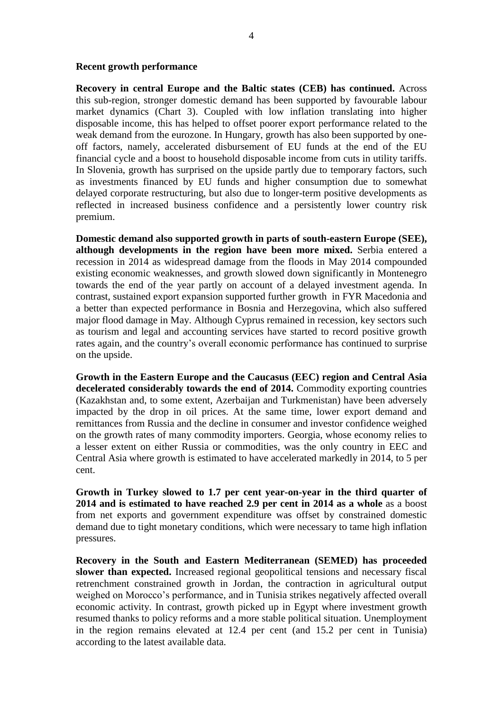**Recovery in central Europe and the Baltic states (CEB) has continued.** Across this sub-region, stronger domestic demand has been supported by favourable labour market dynamics (Chart 3). Coupled with low inflation translating into higher disposable income, this has helped to offset poorer export performance related to the weak demand from the eurozone. In Hungary, growth has also been supported by oneoff factors, namely, accelerated disbursement of EU funds at the end of the EU financial cycle and a boost to household disposable income from cuts in utility tariffs. In Slovenia, growth has surprised on the upside partly due to temporary factors, such as investments financed by EU funds and higher consumption due to somewhat delayed corporate restructuring, but also due to longer-term positive developments as reflected in increased business confidence and a persistently lower country risk premium.

**Domestic demand also supported growth in parts of south-eastern Europe (SEE), although developments in the region have been more mixed.** Serbia entered a recession in 2014 as widespread damage from the floods in May 2014 compounded existing economic weaknesses, and growth slowed down significantly in Montenegro towards the end of the year partly on account of a delayed investment agenda. In contrast, sustained export expansion supported further growth in FYR Macedonia and a better than expected performance in Bosnia and Herzegovina, which also suffered major flood damage in May. Although Cyprus remained in recession, key sectors such as tourism and legal and accounting services have started to record positive growth rates again, and the country's overall economic performance has continued to surprise on the upside.

**Growth in the Eastern Europe and the Caucasus (EEC) region and Central Asia decelerated considerably towards the end of 2014.** Commodity exporting countries (Kazakhstan and, to some extent, Azerbaijan and Turkmenistan) have been adversely impacted by the drop in oil prices. At the same time, lower export demand and remittances from Russia and the decline in consumer and investor confidence weighed on the growth rates of many commodity importers. Georgia, whose economy relies to a lesser extent on either Russia or commodities, was the only country in EEC and Central Asia where growth is estimated to have accelerated markedly in 2014, to 5 per cent.

**Growth in Turkey slowed to 1.7 per cent year-on-year in the third quarter of 2014 and is estimated to have reached 2.9 per cent in 2014 as a whole** as a boost from net exports and government expenditure was offset by constrained domestic demand due to tight monetary conditions, which were necessary to tame high inflation pressures.

**Recovery in the South and Eastern Mediterranean (SEMED) has proceeded slower than expected.** Increased regional geopolitical tensions and necessary fiscal retrenchment constrained growth in Jordan, the contraction in agricultural output weighed on Morocco's performance, and in Tunisia strikes negatively affected overall economic activity. In contrast, growth picked up in Egypt where investment growth resumed thanks to policy reforms and a more stable political situation. Unemployment in the region remains elevated at 12.4 per cent (and 15.2 per cent in Tunisia) according to the latest available data.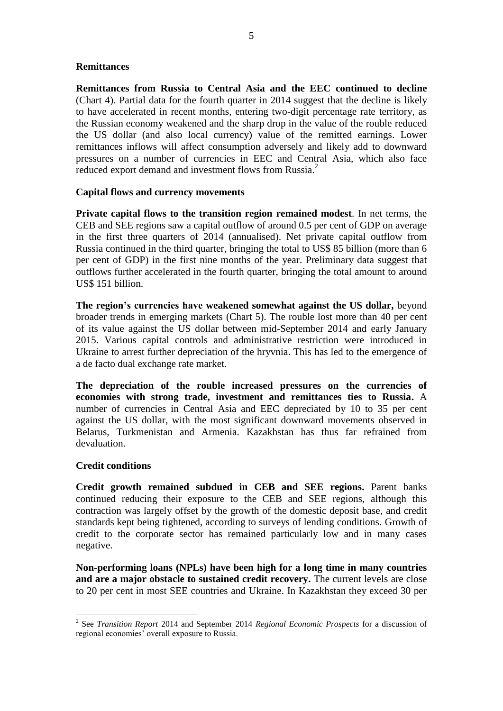## **Remittances**

**Remittances from Russia to Central Asia and the EEC continued to decline** (Chart 4). Partial data for the fourth quarter in 2014 suggest that the decline is likely to have accelerated in recent months, entering two-digit percentage rate territory, as the Russian economy weakened and the sharp drop in the value of the rouble reduced the US dollar (and also local currency) value of the remitted earnings. Lower remittances inflows will affect consumption adversely and likely add to downward pressures on a number of currencies in EEC and Central Asia, which also face reduced export demand and investment flows from Russia.<sup>2</sup>

### **Capital flows and currency movements**

**Private capital flows to the transition region remained modest**. In net terms, the CEB and SEE regions saw a capital outflow of around 0.5 per cent of GDP on average in the first three quarters of 2014 (annualised). Net private capital outflow from Russia continued in the third quarter, bringing the total to US\$ 85 billion (more than 6 per cent of GDP) in the first nine months of the year. Preliminary data suggest that outflows further accelerated in the fourth quarter, bringing the total amount to around US\$ 151 billion.

**The region's currencies have weakened somewhat against the US dollar,** beyond broader trends in emerging markets (Chart 5). The rouble lost more than 40 per cent of its value against the US dollar between mid-September 2014 and early January 2015. Various capital controls and administrative restriction were introduced in Ukraine to arrest further depreciation of the hryvnia. This has led to the emergence of a de facto dual exchange rate market.

**The depreciation of the rouble increased pressures on the currencies of economies with strong trade, investment and remittances ties to Russia.** A number of currencies in Central Asia and EEC depreciated by 10 to 35 per cent against the US dollar, with the most significant downward movements observed in Belarus, Turkmenistan and Armenia. Kazakhstan has thus far refrained from devaluation.

### **Credit conditions**

 $\overline{a}$ 

**Credit growth remained subdued in CEB and SEE regions.** Parent banks continued reducing their exposure to the CEB and SEE regions, although this contraction was largely offset by the growth of the domestic deposit base, and credit standards kept being tightened, according to surveys of lending conditions. Growth of credit to the corporate sector has remained particularly low and in many cases negative.

**Non-performing loans (NPLs) have been high for a long time in many countries and are a major obstacle to sustained credit recovery.** The current levels are close to 20 per cent in most SEE countries and Ukraine. In Kazakhstan they exceed 30 per

<sup>2</sup> See *Transition Report* 2014 and September 2014 *Regional Economic Prospects* for a discussion of regional economies' overall exposure to Russia.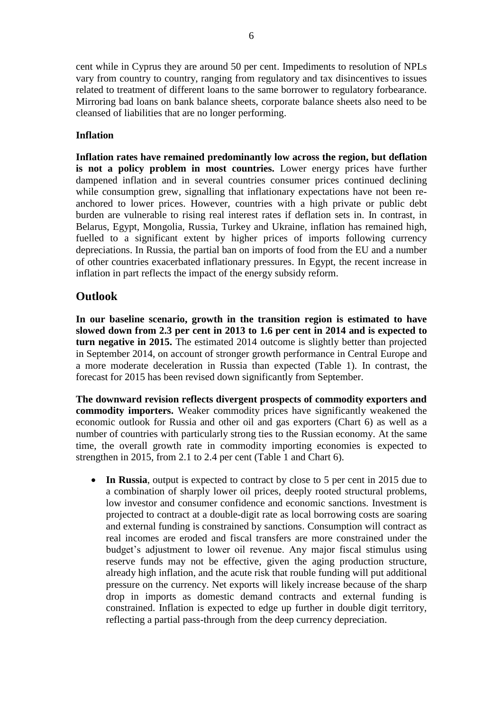cent while in Cyprus they are around 50 per cent. Impediments to resolution of NPLs vary from country to country, ranging from regulatory and tax disincentives to issues related to treatment of different loans to the same borrower to regulatory forbearance. Mirroring bad loans on bank balance sheets, corporate balance sheets also need to be cleansed of liabilities that are no longer performing.

## **Inflation**

**Inflation rates have remained predominantly low across the region, but deflation is not a policy problem in most countries.** Lower energy prices have further dampened inflation and in several countries consumer prices continued declining while consumption grew, signalling that inflationary expectations have not been reanchored to lower prices. However, countries with a high private or public debt burden are vulnerable to rising real interest rates if deflation sets in. In contrast, in Belarus, Egypt, Mongolia, Russia, Turkey and Ukraine, inflation has remained high, fuelled to a significant extent by higher prices of imports following currency depreciations. In Russia, the partial ban on imports of food from the EU and a number of other countries exacerbated inflationary pressures. In Egypt, the recent increase in inflation in part reflects the impact of the energy subsidy reform.

## **Outlook**

**In our baseline scenario, growth in the transition region is estimated to have slowed down from 2.3 per cent in 2013 to 1.6 per cent in 2014 and is expected to turn negative in 2015.** The estimated 2014 outcome is slightly better than projected in September 2014, on account of stronger growth performance in Central Europe and a more moderate deceleration in Russia than expected (Table 1). In contrast, the forecast for 2015 has been revised down significantly from September.

**The downward revision reflects divergent prospects of commodity exporters and commodity importers.** Weaker commodity prices have significantly weakened the economic outlook for Russia and other oil and gas exporters (Chart 6) as well as a number of countries with particularly strong ties to the Russian economy. At the same time, the overall growth rate in commodity importing economies is expected to strengthen in 2015, from 2.1 to 2.4 per cent (Table 1 and Chart 6).

• In Russia, output is expected to contract by close to 5 per cent in 2015 due to a combination of sharply lower oil prices, deeply rooted structural problems, low investor and consumer confidence and economic sanctions. Investment is projected to contract at a double-digit rate as local borrowing costs are soaring and external funding is constrained by sanctions. Consumption will contract as real incomes are eroded and fiscal transfers are more constrained under the budget's adjustment to lower oil revenue. Any major fiscal stimulus using reserve funds may not be effective, given the aging production structure, already high inflation, and the acute risk that rouble funding will put additional pressure on the currency. Net exports will likely increase because of the sharp drop in imports as domestic demand contracts and external funding is constrained. Inflation is expected to edge up further in double digit territory, reflecting a partial pass-through from the deep currency depreciation.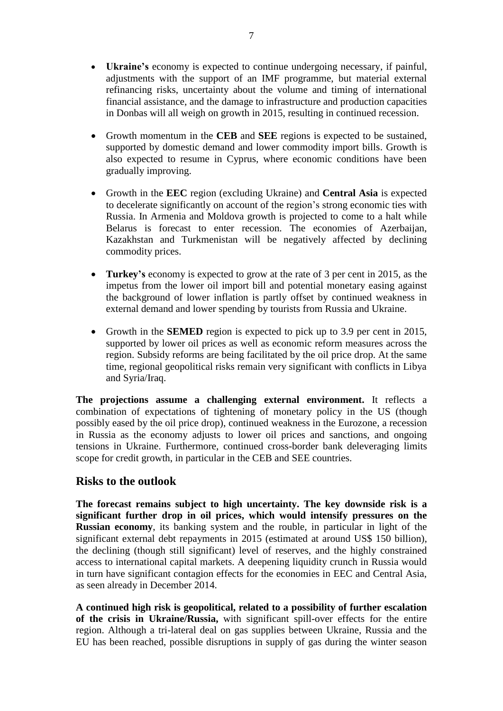- **Ukraine's** economy is expected to continue undergoing necessary, if painful, adjustments with the support of an IMF programme, but material external refinancing risks, uncertainty about the volume and timing of international financial assistance, and the damage to infrastructure and production capacities in Donbas will all weigh on growth in 2015, resulting in continued recession.
- Growth momentum in the **CEB** and **SEE** regions is expected to be sustained, supported by domestic demand and lower commodity import bills. Growth is also expected to resume in Cyprus, where economic conditions have been gradually improving.
- Growth in the **EEC** region (excluding Ukraine) and **Central Asia** is expected to decelerate significantly on account of the region's strong economic ties with Russia. In Armenia and Moldova growth is projected to come to a halt while Belarus is forecast to enter recession. The economies of Azerbaijan, Kazakhstan and Turkmenistan will be negatively affected by declining commodity prices.
- **Turkey's** economy is expected to grow at the rate of 3 per cent in 2015, as the impetus from the lower oil import bill and potential monetary easing against the background of lower inflation is partly offset by continued weakness in external demand and lower spending by tourists from Russia and Ukraine.
- Growth in the **SEMED** region is expected to pick up to 3.9 per cent in 2015, supported by lower oil prices as well as economic reform measures across the region. Subsidy reforms are being facilitated by the oil price drop. At the same time, regional geopolitical risks remain very significant with conflicts in Libya and Syria/Iraq.

**The projections assume a challenging external environment.** It reflects a combination of expectations of tightening of monetary policy in the US (though possibly eased by the oil price drop), continued weakness in the Eurozone, a recession in Russia as the economy adjusts to lower oil prices and sanctions, and ongoing tensions in Ukraine. Furthermore, continued cross-border bank deleveraging limits scope for credit growth, in particular in the CEB and SEE countries.

## **Risks to the outlook**

**The forecast remains subject to high uncertainty. The key downside risk is a significant further drop in oil prices, which would intensify pressures on the Russian economy**, its banking system and the rouble, in particular in light of the significant external debt repayments in 2015 (estimated at around US\$ 150 billion), the declining (though still significant) level of reserves, and the highly constrained access to international capital markets. A deepening liquidity crunch in Russia would in turn have significant contagion effects for the economies in EEC and Central Asia, as seen already in December 2014.

**A continued high risk is geopolitical, related to a possibility of further escalation of the crisis in Ukraine/Russia,** with significant spill-over effects for the entire region. Although a tri-lateral deal on gas supplies between Ukraine, Russia and the EU has been reached, possible disruptions in supply of gas during the winter season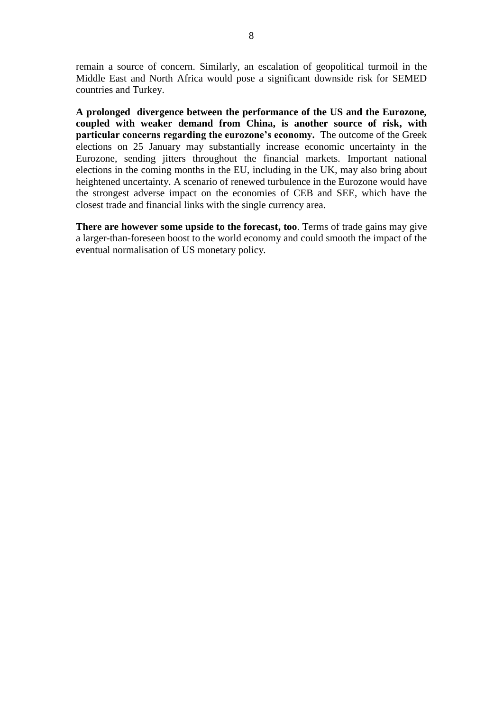remain a source of concern. Similarly, an escalation of geopolitical turmoil in the Middle East and North Africa would pose a significant downside risk for SEMED countries and Turkey.

**A prolonged divergence between the performance of the US and the Eurozone, coupled with weaker demand from China, is another source of risk, with particular concerns regarding the eurozone's economy.** The outcome of the Greek elections on 25 January may substantially increase economic uncertainty in the Eurozone, sending jitters throughout the financial markets. Important national elections in the coming months in the EU, including in the UK, may also bring about heightened uncertainty. A scenario of renewed turbulence in the Eurozone would have the strongest adverse impact on the economies of CEB and SEE, which have the closest trade and financial links with the single currency area.

**There are however some upside to the forecast, too**. Terms of trade gains may give a larger-than-foreseen boost to the world economy and could smooth the impact of the eventual normalisation of US monetary policy*.*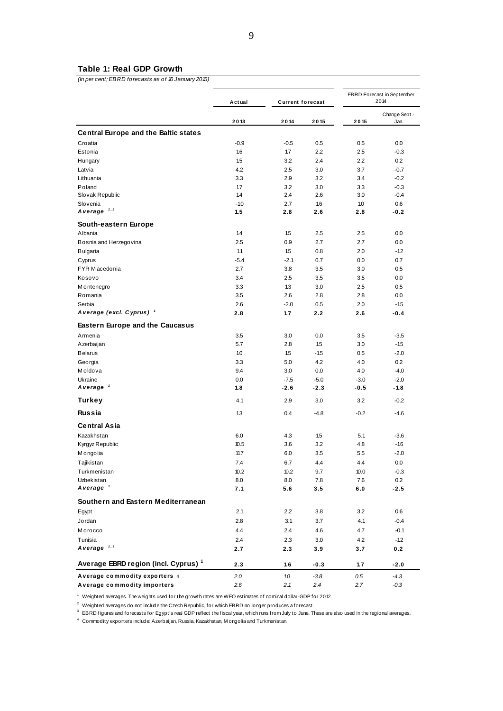#### **Table 1: Real GDP Growth**

*(In per cent; EBRD forecasts as of 16 January 2015)*

|                                                                                                                         | Actual        | <b>Current forecast</b> |            | EBRD Forecast in September<br>2014 |                       |
|-------------------------------------------------------------------------------------------------------------------------|---------------|-------------------------|------------|------------------------------------|-----------------------|
|                                                                                                                         | 2013          | 2014                    | 2015       | 2015                               | Change Sept.-<br>Jan. |
| <b>Central Europe and the Baltic states</b>                                                                             |               |                         |            |                                    |                       |
| Croatia                                                                                                                 | $-0.9$        | $-0.5$                  | 0.5        | 0.5                                | 0.0                   |
| Estonia                                                                                                                 | 16            | 17                      | 2.2        | 2.5                                | $-0.3$                |
| Hungary                                                                                                                 | 1.5           | 3.2                     | 2.4        | 2.2                                | 0.2                   |
| Latvia                                                                                                                  | 4.2           | 2.5                     | 3.0        | 3.7                                | $-0.7$                |
| Lithuania                                                                                                               | 3.3           | 2.9                     | 3.2        | 3.4                                | $-0.2$                |
| Poland                                                                                                                  | 1.7           | 3.2                     | 3.0        | 3.3                                | $-0.3$                |
| Slovak Republic                                                                                                         | 1.4           | 2.4                     | 2.6        | 3.0                                | $-0.4$                |
| Slovenia<br>A verage $1,2$                                                                                              | $-1.0$<br>1.5 | 2.7<br>2.8              | 1.6<br>2.6 | 1.0<br>2.8                         | 0.6<br>$-0.2$         |
| South-eastern Europe                                                                                                    |               |                         |            |                                    |                       |
| Albania                                                                                                                 | 14            | 1.5                     | 2.5        | 2.5                                | 0.0                   |
| Bosnia and Herzegovina                                                                                                  | 2.5           | 0.9                     | 2.7        | 2.7                                | 0.0                   |
| <b>Bulgaria</b>                                                                                                         | 1.1           | 1.5                     | 0.8        | 2.0                                | $-1.2$                |
| Cyprus                                                                                                                  | $-5.4$        | $-2.1$                  | 0.7        | 0.0                                | 0.7                   |
| FYR Macedonia                                                                                                           | 2.7           | 3.8                     | 3.5        | 3.0                                | 0.5                   |
| Kosovo                                                                                                                  | 3.4           | 2.5                     | 3.5        | 3.5                                | 0.0                   |
| M ontenegro                                                                                                             | 3.3           | 13                      | 3.0        | 2.5                                | 0.5                   |
| Romania                                                                                                                 | 3.5           | 2.6                     | 2.8        | 2.8                                | 0.0                   |
| Serbia                                                                                                                  | 2.6           | $-2.0$                  | 0.5        | 2.0                                | $-1.5$                |
| A verage (excl. Cyprus) <sup>1</sup>                                                                                    | 2.8           | 1.7                     | 2.2        | 2.6                                | $-0.4$                |
| <b>Eastern Europe and the Caucasus</b>                                                                                  |               |                         |            |                                    |                       |
| Armenia                                                                                                                 | 3.5           | 3.0                     | 0.0        | 3.5                                | $-3.5$                |
| Azerbaijan                                                                                                              | 5.7           | 2.8                     | 1.5        | 3.0                                | $-1.5$                |
| <b>Belarus</b>                                                                                                          | 1.0           | 1.5                     | $-1.5$     | 0.5                                | $-2.0$                |
| Georgia                                                                                                                 | 3.3           | 5.0                     | 4.2        | 4.0                                | 0.2                   |
| Moldova                                                                                                                 | 9.4           | 3.0                     | 0.0        | 4.0                                | $-4.0$                |
| Ukraine                                                                                                                 | 0.0           | $-7.5$                  | $-5.0$     | $-3.0$                             | $-2.0$                |
| A verage '                                                                                                              | 1.8           | $-2.6$                  | $-2.3$     | $-0.5$                             | -1.8                  |
| Turkey                                                                                                                  | 4.1           | 2.9                     | 3.0        | 3.2                                | $-0.2$                |
| <b>Russia</b>                                                                                                           | 13            | 0.4                     | $-4.8$     | $-0.2$                             | $-4.6$                |
| <b>Central Asia</b>                                                                                                     |               |                         |            |                                    |                       |
| Kazakhstan                                                                                                              | 6.0           | 4.3                     | 15         | 5.1                                | $-3.6$                |
| Kyrgyz Republic                                                                                                         | 10.5          | 3.6                     | 3.2        | 4.8                                | $-16$                 |
| Mongolia                                                                                                                | 11.7          | 6.0                     | 3.5        | 5.5                                | $-2.0$                |
| Tajikistan                                                                                                              | 7.4           | 6.7                     | 4.4        | 4.4                                | 0.0                   |
| Turkmenistan                                                                                                            | 10.2          | 10.2                    | 9.7        | 10.0                               | $-0.3$                |
| Uzbekistan<br>A verage $1$                                                                                              | 8.0<br>7.1    | 8.0<br>5.6              | 7.8<br>3.5 | 7.6<br>6.0                         | 0.2<br>$-2.5$         |
| Southern and Eastern Mediterranean                                                                                      |               |                         |            |                                    |                       |
| Egypt                                                                                                                   | 2.1           | 2.2                     | 3.8        | 3.2                                | 0.6                   |
| Jordan                                                                                                                  | 2.8           | 3.1                     | 3.7        | 4.1                                | $-0.4$                |
| Morocco                                                                                                                 | 4.4           | 2.4                     | 4.6        | 4.7                                | $-0.1$                |
| Tunisia                                                                                                                 | 2.4           | 2.3                     | 3.0        | 4.2                                | $-1.2$                |
| A verage $1,3$                                                                                                          | 2.7           | 2.3                     | 3.9        | 3.7                                | 0.2                   |
| Average EBRD region (incl. Cyprus) <sup>1</sup>                                                                         | 2.3           | 1.6                     | $-0.3$     | 1.7                                | $-2.0$                |
| Average commodity exporters 4                                                                                           | 2.0           | 1.0                     | $-3.8$     | $0.5\,$                            | $-4.3$                |
| Average commodity importers                                                                                             | 2.6           | 2.1                     | 2.4        | 2.7                                | -0.3                  |
| <sup>1</sup> Weighted averages. The weights used for the growth rates are WEO estimates of nominal dollar-GDP for 2012. |               |                         |            |                                    |                       |

<sup>1</sup> Weighted averages. The weights used for the growth rates are WEO estimates of nominal dollar-GDP fo<br><sup>2</sup> Weighted averages do not include the Czech Republic, for which EBRD no longer produces a forecast.

2 Weighted averages the heights doesn't have grownhated at the definition of leminar dollar details.<br>2 Weighted averages do not include the Czech Republic, for which EBRD no longer produces a forecast.<br>3 EBRD figures and f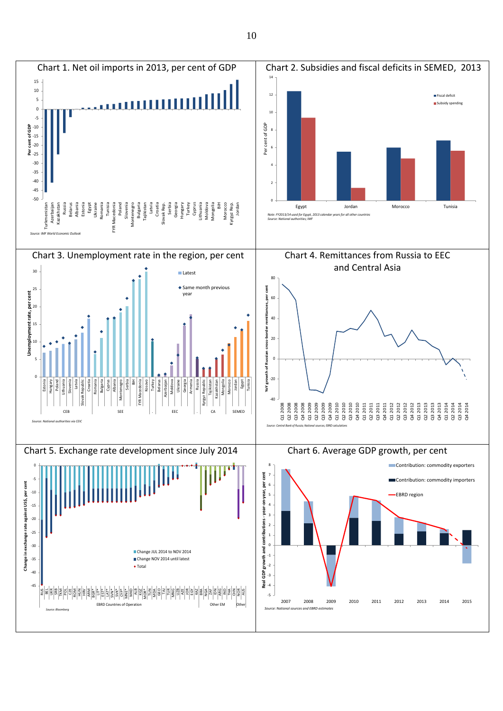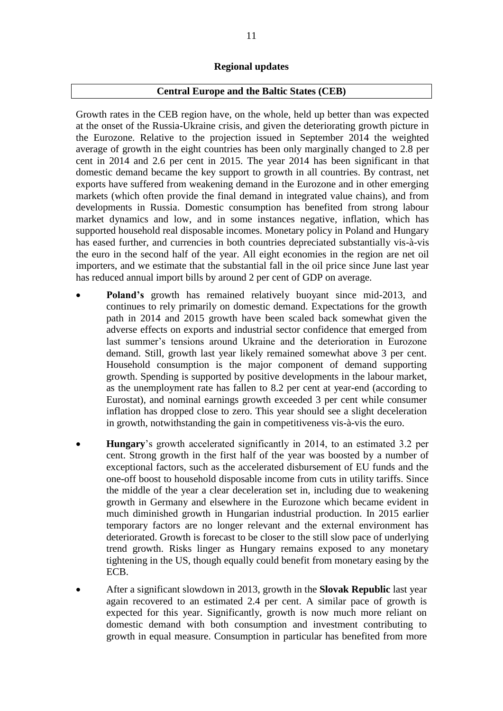## **Regional updates**

## **Central Europe and the Baltic States (CEB)**

Growth rates in the CEB region have, on the whole, held up better than was expected at the onset of the Russia-Ukraine crisis, and given the deteriorating growth picture in the Eurozone. Relative to the projection issued in September 2014 the weighted average of growth in the eight countries has been only marginally changed to 2.8 per cent in 2014 and 2.6 per cent in 2015. The year 2014 has been significant in that domestic demand became the key support to growth in all countries. By contrast, net exports have suffered from weakening demand in the Eurozone and in other emerging markets (which often provide the final demand in integrated value chains), and from developments in Russia. Domestic consumption has benefited from strong labour market dynamics and low, and in some instances negative, inflation, which has supported household real disposable incomes. Monetary policy in Poland and Hungary has eased further, and currencies in both countries depreciated substantially vis-à-vis the euro in the second half of the year. All eight economies in the region are net oil importers, and we estimate that the substantial fall in the oil price since June last year has reduced annual import bills by around 2 per cent of GDP on average.

- **Poland's** growth has remained relatively buoyant since mid-2013, and continues to rely primarily on domestic demand. Expectations for the growth path in 2014 and 2015 growth have been scaled back somewhat given the adverse effects on exports and industrial sector confidence that emerged from last summer's tensions around Ukraine and the deterioration in Eurozone demand. Still, growth last year likely remained somewhat above 3 per cent. Household consumption is the major component of demand supporting growth. Spending is supported by positive developments in the labour market, as the unemployment rate has fallen to 8.2 per cent at year-end (according to Eurostat), and nominal earnings growth exceeded 3 per cent while consumer inflation has dropped close to zero. This year should see a slight deceleration in growth, notwithstanding the gain in competitiveness vis-à-vis the euro.
- **Hungary**'s growth accelerated significantly in 2014, to an estimated 3.2 per cent. Strong growth in the first half of the year was boosted by a number of exceptional factors, such as the accelerated disbursement of EU funds and the one-off boost to household disposable income from cuts in utility tariffs. Since the middle of the year a clear deceleration set in, including due to weakening growth in Germany and elsewhere in the Eurozone which became evident in much diminished growth in Hungarian industrial production. In 2015 earlier temporary factors are no longer relevant and the external environment has deteriorated. Growth is forecast to be closer to the still slow pace of underlying trend growth. Risks linger as Hungary remains exposed to any monetary tightening in the US, though equally could benefit from monetary easing by the ECB.
- After a significant slowdown in 2013, growth in the **Slovak Republic** last year again recovered to an estimated 2.4 per cent. A similar pace of growth is expected for this year. Significantly, growth is now much more reliant on domestic demand with both consumption and investment contributing to growth in equal measure. Consumption in particular has benefited from more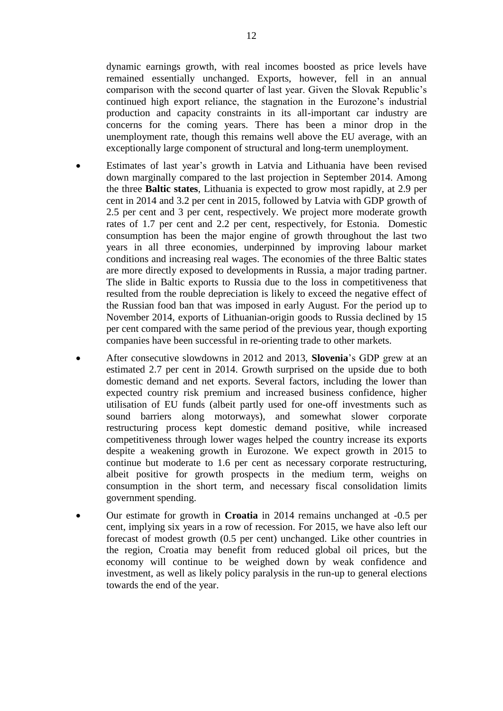dynamic earnings growth, with real incomes boosted as price levels have remained essentially unchanged. Exports, however, fell in an annual comparison with the second quarter of last year. Given the Slovak Republic's continued high export reliance, the stagnation in the Eurozone's industrial production and capacity constraints in its all-important car industry are concerns for the coming years. There has been a minor drop in the unemployment rate, though this remains well above the EU average, with an exceptionally large component of structural and long-term unemployment.

- Estimates of last year's growth in Latvia and Lithuania have been revised down marginally compared to the last projection in September 2014. Among the three **Baltic states**, Lithuania is expected to grow most rapidly, at 2.9 per cent in 2014 and 3.2 per cent in 2015, followed by Latvia with GDP growth of 2.5 per cent and 3 per cent, respectively. We project more moderate growth rates of 1.7 per cent and 2.2 per cent, respectively, for Estonia. Domestic consumption has been the major engine of growth throughout the last two years in all three economies, underpinned by improving labour market conditions and increasing real wages. The economies of the three Baltic states are more directly exposed to developments in Russia, a major trading partner. The slide in Baltic exports to Russia due to the loss in competitiveness that resulted from the rouble depreciation is likely to exceed the negative effect of the Russian food ban that was imposed in early August. For the period up to November 2014, exports of Lithuanian-origin goods to Russia declined by 15 per cent compared with the same period of the previous year, though exporting companies have been successful in re-orienting trade to other markets.
- After consecutive slowdowns in 2012 and 2013, **Slovenia**'s GDP grew at an estimated 2.7 per cent in 2014. Growth surprised on the upside due to both domestic demand and net exports. Several factors, including the lower than expected country risk premium and increased business confidence, higher utilisation of EU funds (albeit partly used for one-off investments such as sound barriers along motorways), and somewhat slower corporate restructuring process kept domestic demand positive, while increased competitiveness through lower wages helped the country increase its exports despite a weakening growth in Eurozone. We expect growth in 2015 to continue but moderate to 1.6 per cent as necessary corporate restructuring, albeit positive for growth prospects in the medium term, weighs on consumption in the short term, and necessary fiscal consolidation limits government spending.
- Our estimate for growth in **Croatia** in 2014 remains unchanged at -0.5 per cent, implying six years in a row of recession. For 2015, we have also left our forecast of modest growth (0.5 per cent) unchanged. Like other countries in the region, Croatia may benefit from reduced global oil prices, but the economy will continue to be weighed down by weak confidence and investment, as well as likely policy paralysis in the run-up to general elections towards the end of the year.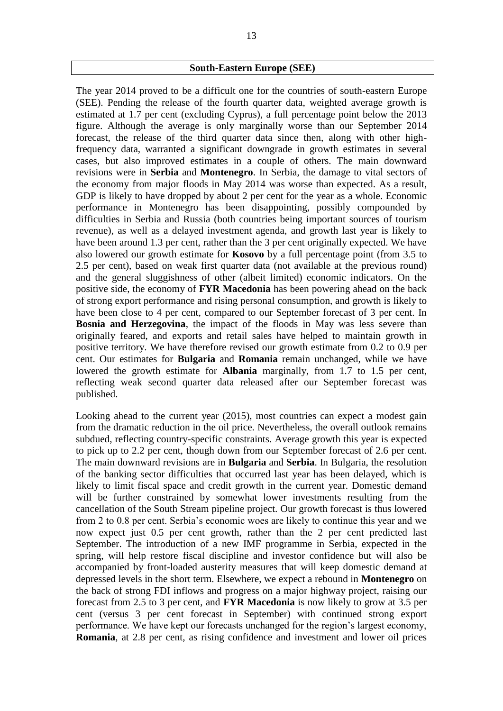### **South-Eastern Europe (SEE)**

The year 2014 proved to be a difficult one for the countries of south-eastern Europe (SEE). Pending the release of the fourth quarter data, weighted average growth is estimated at 1.7 per cent (excluding Cyprus), a full percentage point below the 2013 figure. Although the average is only marginally worse than our September 2014 forecast, the release of the third quarter data since then, along with other highfrequency data, warranted a significant downgrade in growth estimates in several cases, but also improved estimates in a couple of others. The main downward revisions were in **Serbia** and **Montenegro**. In Serbia, the damage to vital sectors of the economy from major floods in May 2014 was worse than expected. As a result, GDP is likely to have dropped by about 2 per cent for the year as a whole. Economic performance in Montenegro has been disappointing, possibly compounded by difficulties in Serbia and Russia (both countries being important sources of tourism revenue), as well as a delayed investment agenda, and growth last year is likely to have been around 1.3 per cent, rather than the 3 per cent originally expected. We have also lowered our growth estimate for **Kosovo** by a full percentage point (from 3.5 to 2.5 per cent), based on weak first quarter data (not available at the previous round) and the general sluggishness of other (albeit limited) economic indicators. On the positive side, the economy of **FYR Macedonia** has been powering ahead on the back of strong export performance and rising personal consumption, and growth is likely to have been close to 4 per cent, compared to our September forecast of 3 per cent. In **Bosnia and Herzegovina**, the impact of the floods in May was less severe than originally feared, and exports and retail sales have helped to maintain growth in positive territory. We have therefore revised our growth estimate from 0.2 to 0.9 per cent. Our estimates for **Bulgaria** and **Romania** remain unchanged, while we have lowered the growth estimate for **Albania** marginally, from 1.7 to 1.5 per cent, reflecting weak second quarter data released after our September forecast was published.

Looking ahead to the current year (2015), most countries can expect a modest gain from the dramatic reduction in the oil price. Nevertheless, the overall outlook remains subdued, reflecting country-specific constraints. Average growth this year is expected to pick up to 2.2 per cent, though down from our September forecast of 2.6 per cent. The main downward revisions are in **Bulgaria** and **Serbia**. In Bulgaria, the resolution of the banking sector difficulties that occurred last year has been delayed, which is likely to limit fiscal space and credit growth in the current year. Domestic demand will be further constrained by somewhat lower investments resulting from the cancellation of the South Stream pipeline project. Our growth forecast is thus lowered from 2 to 0.8 per cent. Serbia's economic woes are likely to continue this year and we now expect just 0.5 per cent growth, rather than the 2 per cent predicted last September. The introduction of a new IMF programme in Serbia, expected in the spring, will help restore fiscal discipline and investor confidence but will also be accompanied by front-loaded austerity measures that will keep domestic demand at depressed levels in the short term. Elsewhere, we expect a rebound in **Montenegro** on the back of strong FDI inflows and progress on a major highway project, raising our forecast from 2.5 to 3 per cent, and **FYR Macedonia** is now likely to grow at 3.5 per cent (versus 3 per cent forecast in September) with continued strong export performance. We have kept our forecasts unchanged for the region's largest economy, **Romania**, at 2.8 per cent, as rising confidence and investment and lower oil prices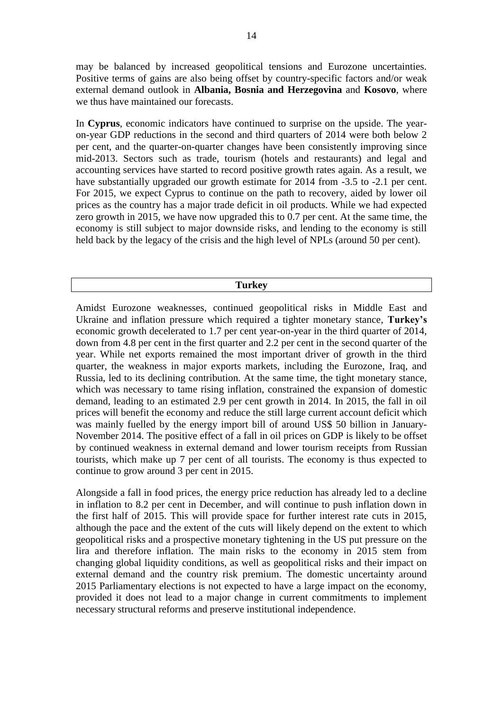may be balanced by increased geopolitical tensions and Eurozone uncertainties. Positive terms of gains are also being offset by country-specific factors and/or weak external demand outlook in **Albania, Bosnia and Herzegovina** and **Kosovo**, where we thus have maintained our forecasts.

In **Cyprus**, economic indicators have continued to surprise on the upside. The yearon-year GDP reductions in the second and third quarters of 2014 were both below 2 per cent, and the quarter-on-quarter changes have been consistently improving since mid-2013. Sectors such as trade, tourism (hotels and restaurants) and legal and accounting services have started to record positive growth rates again. As a result, we have substantially upgraded our growth estimate for 2014 from -3.5 to -2.1 per cent. For 2015, we expect Cyprus to continue on the path to recovery, aided by lower oil prices as the country has a major trade deficit in oil products. While we had expected zero growth in 2015, we have now upgraded this to 0.7 per cent. At the same time, the economy is still subject to major downside risks, and lending to the economy is still held back by the legacy of the crisis and the high level of NPLs (around 50 per cent).

### **Turkey**

Amidst Eurozone weaknesses, continued geopolitical risks in Middle East and Ukraine and inflation pressure which required a tighter monetary stance, **Turkey's** economic growth decelerated to 1.7 per cent year-on-year in the third quarter of 2014, down from 4.8 per cent in the first quarter and 2.2 per cent in the second quarter of the year. While net exports remained the most important driver of growth in the third quarter, the weakness in major exports markets, including the Eurozone, Iraq, and Russia, led to its declining contribution. At the same time, the tight monetary stance, which was necessary to tame rising inflation, constrained the expansion of domestic demand, leading to an estimated 2.9 per cent growth in 2014. In 2015, the fall in oil prices will benefit the economy and reduce the still large current account deficit which was mainly fuelled by the energy import bill of around US\$ 50 billion in January-November 2014. The positive effect of a fall in oil prices on GDP is likely to be offset by continued weakness in external demand and lower tourism receipts from Russian tourists, which make up 7 per cent of all tourists. The economy is thus expected to continue to grow around 3 per cent in 2015.

Alongside a fall in food prices, the energy price reduction has already led to a decline in inflation to 8.2 per cent in December, and will continue to push inflation down in the first half of 2015. This will provide space for further interest rate cuts in 2015, although the pace and the extent of the cuts will likely depend on the extent to which geopolitical risks and a prospective monetary tightening in the US put pressure on the lira and therefore inflation. The main risks to the economy in 2015 stem from changing global liquidity conditions, as well as geopolitical risks and their impact on external demand and the country risk premium. The domestic uncertainty around 2015 Parliamentary elections is not expected to have a large impact on the economy, provided it does not lead to a major change in current commitments to implement necessary structural reforms and preserve institutional independence.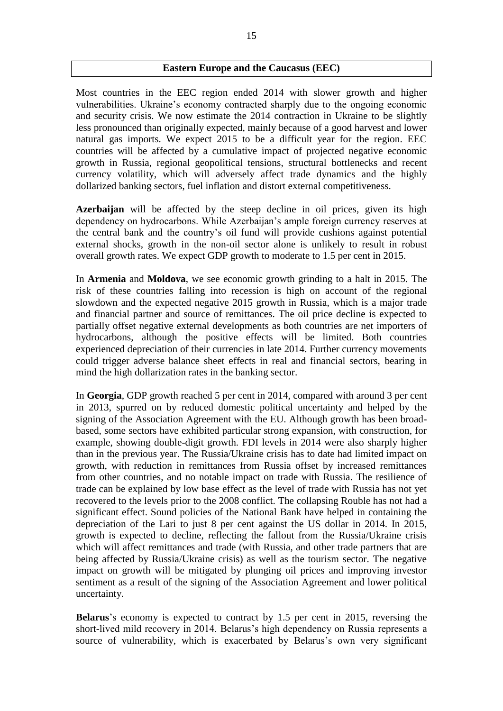### **Eastern Europe and the Caucasus (EEC)**

Most countries in the EEC region ended 2014 with slower growth and higher vulnerabilities. Ukraine's economy contracted sharply due to the ongoing economic and security crisis. We now estimate the 2014 contraction in Ukraine to be slightly less pronounced than originally expected, mainly because of a good harvest and lower natural gas imports. We expect 2015 to be a difficult year for the region. EEC countries will be affected by a cumulative impact of projected negative economic growth in Russia, regional geopolitical tensions, structural bottlenecks and recent currency volatility, which will adversely affect trade dynamics and the highly dollarized banking sectors, fuel inflation and distort external competitiveness.

**Azerbaijan** will be affected by the steep decline in oil prices, given its high dependency on hydrocarbons. While Azerbaijan's ample foreign currency reserves at the central bank and the country's oil fund will provide cushions against potential external shocks, growth in the non-oil sector alone is unlikely to result in robust overall growth rates. We expect GDP growth to moderate to 1.5 per cent in 2015.

In **Armenia** and **Moldova**, we see economic growth grinding to a halt in 2015. The risk of these countries falling into recession is high on account of the regional slowdown and the expected negative 2015 growth in Russia, which is a major trade and financial partner and source of remittances. The oil price decline is expected to partially offset negative external developments as both countries are net importers of hydrocarbons, although the positive effects will be limited. Both countries experienced depreciation of their currencies in late 2014. Further currency movements could trigger adverse balance sheet effects in real and financial sectors, bearing in mind the high dollarization rates in the banking sector.

In **Georgia**, GDP growth reached 5 per cent in 2014, compared with around 3 per cent in 2013, spurred on by reduced domestic political uncertainty and helped by the signing of the Association Agreement with the EU. Although growth has been broadbased, some sectors have exhibited particular strong expansion, with construction, for example, showing double-digit growth. FDI levels in 2014 were also sharply higher than in the previous year. The Russia/Ukraine crisis has to date had limited impact on growth, with reduction in remittances from Russia offset by increased remittances from other countries, and no notable impact on trade with Russia. The resilience of trade can be explained by low base effect as the level of trade with Russia has not yet recovered to the levels prior to the 2008 conflict. The collapsing Rouble has not had a significant effect. Sound policies of the National Bank have helped in containing the depreciation of the Lari to just 8 per cent against the US dollar in 2014. In 2015, growth is expected to decline, reflecting the fallout from the Russia/Ukraine crisis which will affect remittances and trade (with Russia, and other trade partners that are being affected by Russia/Ukraine crisis) as well as the tourism sector. The negative impact on growth will be mitigated by plunging oil prices and improving investor sentiment as a result of the signing of the Association Agreement and lower political uncertainty.

**Belarus**'s economy is expected to contract by 1.5 per cent in 2015, reversing the short-lived mild recovery in 2014. Belarus's high dependency on Russia represents a source of vulnerability, which is exacerbated by Belarus's own very significant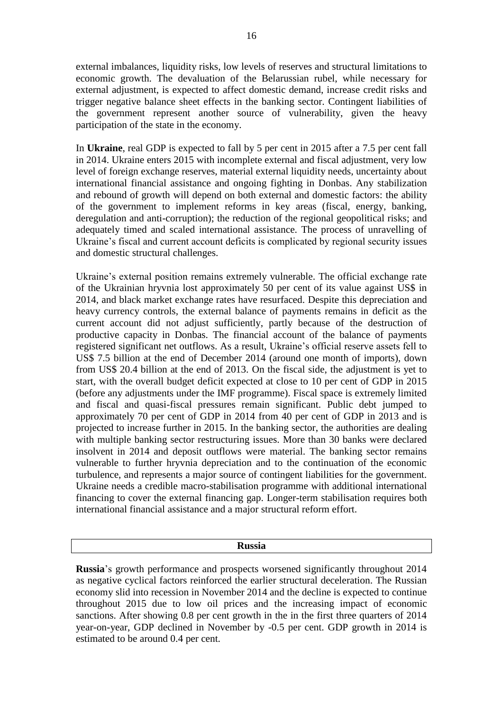external imbalances, liquidity risks, low levels of reserves and structural limitations to economic growth. The devaluation of the Belarussian rubel, while necessary for external adjustment, is expected to affect domestic demand, increase credit risks and trigger negative balance sheet effects in the banking sector. Contingent liabilities of the government represent another source of vulnerability, given the heavy participation of the state in the economy.

In **Ukraine**, real GDP is expected to fall by 5 per cent in 2015 after a 7.5 per cent fall in 2014. Ukraine enters 2015 with incomplete external and fiscal adjustment, very low level of foreign exchange reserves, material external liquidity needs, uncertainty about international financial assistance and ongoing fighting in Donbas. Any stabilization and rebound of growth will depend on both external and domestic factors: the ability of the government to implement reforms in key areas (fiscal, energy, banking, deregulation and anti-corruption); the reduction of the regional geopolitical risks; and adequately timed and scaled international assistance. The process of unravelling of Ukraine's fiscal and current account deficits is complicated by regional security issues and domestic structural challenges.

Ukraine's external position remains extremely vulnerable. The official exchange rate of the Ukrainian hryvnia lost approximately 50 per cent of its value against US\$ in 2014, and black market exchange rates have resurfaced. Despite this depreciation and heavy currency controls, the external balance of payments remains in deficit as the current account did not adjust sufficiently, partly because of the destruction of productive capacity in Donbas. The financial account of the balance of payments registered significant net outflows. As a result, Ukraine's official reserve assets fell to US\$ 7.5 billion at the end of December 2014 (around one month of imports), down from US\$ 20.4 billion at the end of 2013. On the fiscal side, the adjustment is yet to start, with the overall budget deficit expected at close to 10 per cent of GDP in 2015 (before any adjustments under the IMF programme). Fiscal space is extremely limited and fiscal and quasi-fiscal pressures remain significant. Public debt jumped to approximately 70 per cent of GDP in 2014 from 40 per cent of GDP in 2013 and is projected to increase further in 2015. In the banking sector, the authorities are dealing with multiple banking sector restructuring issues. More than 30 banks were declared insolvent in 2014 and deposit outflows were material. The banking sector remains vulnerable to further hryvnia depreciation and to the continuation of the economic turbulence, and represents a major source of contingent liabilities for the government. Ukraine needs a credible macro-stabilisation programme with additional international financing to cover the external financing gap. Longer-term stabilisation requires both international financial assistance and a major structural reform effort.

### **Russia**

**Russia**'s growth performance and prospects worsened significantly throughout 2014 as negative cyclical factors reinforced the earlier structural deceleration. The Russian economy slid into recession in November 2014 and the decline is expected to continue throughout 2015 due to low oil prices and the increasing impact of economic sanctions. After showing 0.8 per cent growth in the in the first three quarters of 2014 year-on-year, GDP declined in November by -0.5 per cent. GDP growth in 2014 is estimated to be around 0.4 per cent.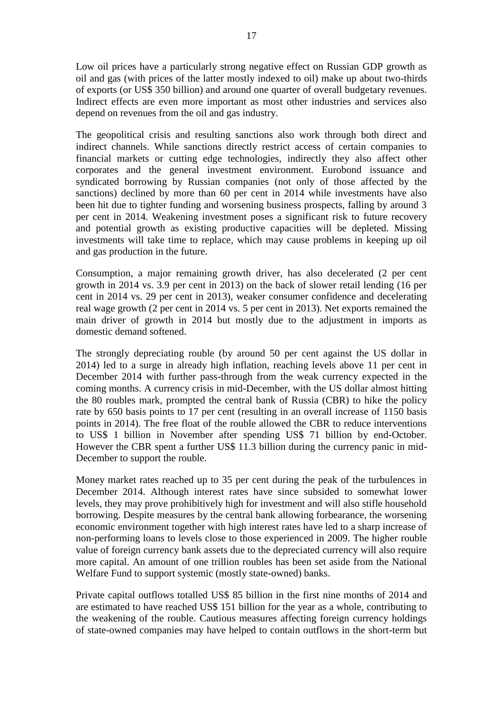Low oil prices have a particularly strong negative effect on Russian GDP growth as oil and gas (with prices of the latter mostly indexed to oil) make up about two-thirds of exports (or US\$ 350 billion) and around one quarter of overall budgetary revenues. Indirect effects are even more important as most other industries and services also depend on revenues from the oil and gas industry.

The geopolitical crisis and resulting sanctions also work through both direct and indirect channels. While sanctions directly restrict access of certain companies to financial markets or cutting edge technologies, indirectly they also affect other corporates and the general investment environment. Eurobond issuance and syndicated borrowing by Russian companies (not only of those affected by the sanctions) declined by more than 60 per cent in 2014 while investments have also been hit due to tighter funding and worsening business prospects, falling by around 3 per cent in 2014. Weakening investment poses a significant risk to future recovery and potential growth as existing productive capacities will be depleted. Missing investments will take time to replace, which may cause problems in keeping up oil and gas production in the future.

Consumption, a major remaining growth driver, has also decelerated (2 per cent growth in 2014 vs. 3.9 per cent in 2013) on the back of slower retail lending (16 per cent in 2014 vs. 29 per cent in 2013), weaker consumer confidence and decelerating real wage growth (2 per cent in 2014 vs. 5 per cent in 2013). Net exports remained the main driver of growth in 2014 but mostly due to the adjustment in imports as domestic demand softened.

The strongly depreciating rouble (by around 50 per cent against the US dollar in 2014) led to a surge in already high inflation, reaching levels above 11 per cent in December 2014 with further pass-through from the weak currency expected in the coming months. A currency crisis in mid-December, with the US dollar almost hitting the 80 roubles mark, prompted the central bank of Russia (CBR) to hike the policy rate by 650 basis points to 17 per cent (resulting in an overall increase of 1150 basis points in 2014). The free float of the rouble allowed the CBR to reduce interventions to US\$ 1 billion in November after spending US\$ 71 billion by end-October. However the CBR spent a further US\$ 11.3 billion during the currency panic in mid-December to support the rouble.

Money market rates reached up to 35 per cent during the peak of the turbulences in December 2014. Although interest rates have since subsided to somewhat lower levels, they may prove prohibitively high for investment and will also stifle household borrowing. Despite measures by the central bank allowing forbearance, the worsening economic environment together with high interest rates have led to a sharp increase of non-performing loans to levels close to those experienced in 2009. The higher rouble value of foreign currency bank assets due to the depreciated currency will also require more capital. An amount of one trillion roubles has been set aside from the National Welfare Fund to support systemic (mostly state-owned) banks.

Private capital outflows totalled US\$ 85 billion in the first nine months of 2014 and are estimated to have reached US\$ 151 billion for the year as a whole, contributing to the weakening of the rouble. Cautious measures affecting foreign currency holdings of state-owned companies may have helped to contain outflows in the short-term but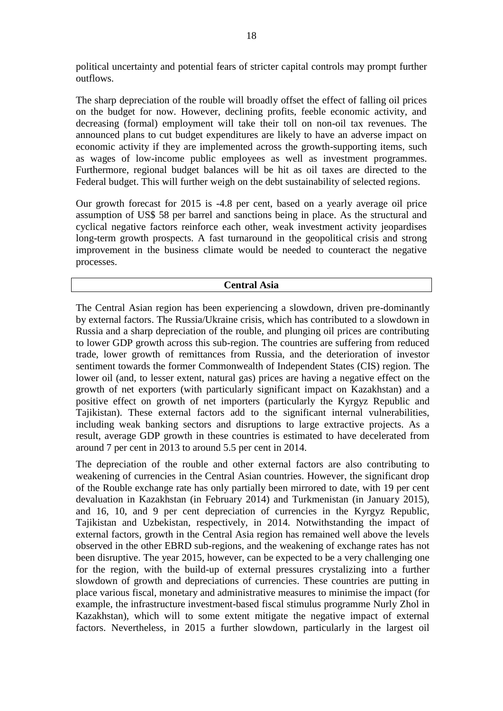political uncertainty and potential fears of stricter capital controls may prompt further outflows.

The sharp depreciation of the rouble will broadly offset the effect of falling oil prices on the budget for now. However, declining profits, feeble economic activity, and decreasing (formal) employment will take their toll on non-oil tax revenues. The announced plans to cut budget expenditures are likely to have an adverse impact on economic activity if they are implemented across the growth-supporting items, such as wages of low-income public employees as well as investment programmes. Furthermore, regional budget balances will be hit as oil taxes are directed to the Federal budget. This will further weigh on the debt sustainability of selected regions.

Our growth forecast for 2015 is -4.8 per cent, based on a yearly average oil price assumption of US\$ 58 per barrel and sanctions being in place. As the structural and cyclical negative factors reinforce each other, weak investment activity jeopardises long-term growth prospects. A fast turnaround in the geopolitical crisis and strong improvement in the business climate would be needed to counteract the negative processes.

### **Central Asia**

The Central Asian region has been experiencing a slowdown, driven pre-dominantly by external factors. The Russia/Ukraine crisis, which has contributed to a slowdown in Russia and a sharp depreciation of the rouble, and plunging oil prices are contributing to lower GDP growth across this sub-region. The countries are suffering from reduced trade, lower growth of remittances from Russia, and the deterioration of investor sentiment towards the former Commonwealth of Independent States (CIS) region. The lower oil (and, to lesser extent, natural gas) prices are having a negative effect on the growth of net exporters (with particularly significant impact on Kazakhstan) and a positive effect on growth of net importers (particularly the Kyrgyz Republic and Tajikistan). These external factors add to the significant internal vulnerabilities, including weak banking sectors and disruptions to large extractive projects. As a result, average GDP growth in these countries is estimated to have decelerated from around 7 per cent in 2013 to around 5.5 per cent in 2014.

The depreciation of the rouble and other external factors are also contributing to weakening of currencies in the Central Asian countries. However, the significant drop of the Rouble exchange rate has only partially been mirrored to date, with 19 per cent devaluation in Kazakhstan (in February 2014) and Turkmenistan (in January 2015), and 16, 10, and 9 per cent depreciation of currencies in the Kyrgyz Republic, Tajikistan and Uzbekistan, respectively, in 2014. Notwithstanding the impact of external factors, growth in the Central Asia region has remained well above the levels observed in the other EBRD sub-regions, and the weakening of exchange rates has not been disruptive. The year 2015, however, can be expected to be a very challenging one for the region, with the build-up of external pressures crystalizing into a further slowdown of growth and depreciations of currencies. These countries are putting in place various fiscal, monetary and administrative measures to minimise the impact (for example, the infrastructure investment-based fiscal stimulus programme Nurly Zhol in Kazakhstan), which will to some extent mitigate the negative impact of external factors. Nevertheless, in 2015 a further slowdown, particularly in the largest oil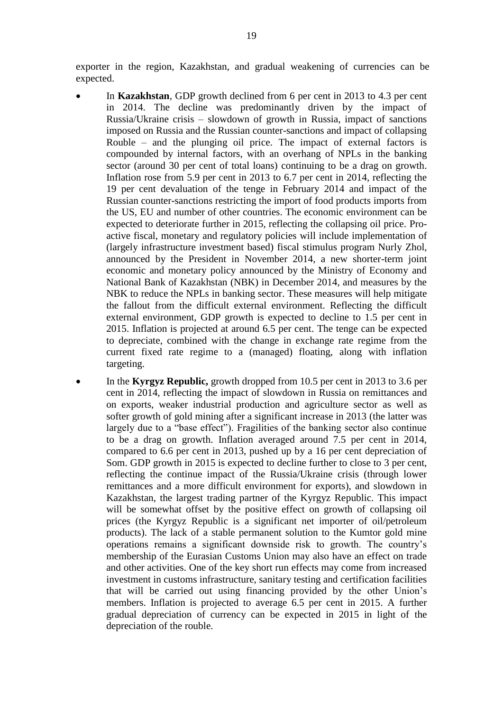exporter in the region, Kazakhstan, and gradual weakening of currencies can be expected.

- In **Kazakhstan**, GDP growth declined from 6 per cent in 2013 to 4.3 per cent in 2014. The decline was predominantly driven by the impact of Russia/Ukraine crisis – slowdown of growth in Russia, impact of sanctions imposed on Russia and the Russian counter-sanctions and impact of collapsing Rouble – and the plunging oil price. The impact of external factors is compounded by internal factors, with an overhang of NPLs in the banking sector (around 30 per cent of total loans) continuing to be a drag on growth. Inflation rose from 5.9 per cent in 2013 to 6.7 per cent in 2014, reflecting the 19 per cent devaluation of the tenge in February 2014 and impact of the Russian counter-sanctions restricting the import of food products imports from the US, EU and number of other countries. The economic environment can be expected to deteriorate further in 2015, reflecting the collapsing oil price. Proactive fiscal, monetary and regulatory policies will include implementation of (largely infrastructure investment based) fiscal stimulus program Nurly Zhol, announced by the President in November 2014, a new shorter-term joint economic and monetary policy announced by the Ministry of Economy and National Bank of Kazakhstan (NBK) in December 2014, and measures by the NBK to reduce the NPLs in banking sector. These measures will help mitigate the fallout from the difficult external environment. Reflecting the difficult external environment, GDP growth is expected to decline to 1.5 per cent in 2015. Inflation is projected at around 6.5 per cent. The tenge can be expected to depreciate, combined with the change in exchange rate regime from the current fixed rate regime to a (managed) floating, along with inflation targeting.
- In the **Kyrgyz Republic,** growth dropped from 10.5 per cent in 2013 to 3.6 per cent in 2014, reflecting the impact of slowdown in Russia on remittances and on exports, weaker industrial production and agriculture sector as well as softer growth of gold mining after a significant increase in 2013 (the latter was largely due to a "base effect"). Fragilities of the banking sector also continue to be a drag on growth. Inflation averaged around 7.5 per cent in 2014, compared to 6.6 per cent in 2013, pushed up by a 16 per cent depreciation of Som. GDP growth in 2015 is expected to decline further to close to 3 per cent, reflecting the continue impact of the Russia/Ukraine crisis (through lower remittances and a more difficult environment for exports), and slowdown in Kazakhstan, the largest trading partner of the Kyrgyz Republic. This impact will be somewhat offset by the positive effect on growth of collapsing oil prices (the Kyrgyz Republic is a significant net importer of oil/petroleum products). The lack of a stable permanent solution to the Kumtor gold mine operations remains a significant downside risk to growth. The country's membership of the Eurasian Customs Union may also have an effect on trade and other activities. One of the key short run effects may come from increased investment in customs infrastructure, sanitary testing and certification facilities that will be carried out using financing provided by the other Union's members. Inflation is projected to average 6.5 per cent in 2015. A further gradual depreciation of currency can be expected in 2015 in light of the depreciation of the rouble.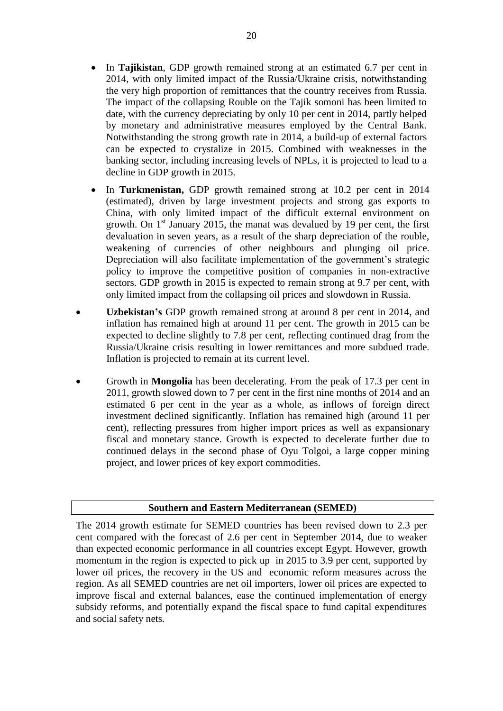In **Tajikistan**, GDP growth remained strong at an estimated 6.7 per cent in 2014, with only limited impact of the Russia/Ukraine crisis, notwithstanding the very high proportion of remittances that the country receives from Russia. The impact of the collapsing Rouble on the Tajik somoni has been limited to date, with the currency depreciating by only 10 per cent in 2014, partly helped by monetary and administrative measures employed by the Central Bank. Notwithstanding the strong growth rate in 2014, a build-up of external factors can be expected to crystalize in 2015. Combined with weaknesses in the banking sector, including increasing levels of NPLs, it is projected to lead to a

decline in GDP growth in 2015.

- In **Turkmenistan,** GDP growth remained strong at 10.2 per cent in 2014 (estimated), driven by large investment projects and strong gas exports to China, with only limited impact of the difficult external environment on growth. On  $1<sup>st</sup>$  January 2015, the manat was devalued by 19 per cent, the first devaluation in seven years, as a result of the sharp depreciation of the rouble, weakening of currencies of other neighbours and plunging oil price. Depreciation will also facilitate implementation of the government's strategic policy to improve the competitive position of companies in non-extractive sectors. GDP growth in 2015 is expected to remain strong at 9.7 per cent, with only limited impact from the collapsing oil prices and slowdown in Russia.
- **Uzbekistan's** GDP growth remained strong at around 8 per cent in 2014, and inflation has remained high at around 11 per cent. The growth in 2015 can be expected to decline slightly to 7.8 per cent, reflecting continued drag from the Russia/Ukraine crisis resulting in lower remittances and more subdued trade. Inflation is projected to remain at its current level.
- Growth in **Mongolia** has been decelerating. From the peak of 17.3 per cent in 2011, growth slowed down to 7 per cent in the first nine months of 2014 and an estimated 6 per cent in the year as a whole, as inflows of foreign direct investment declined significantly. Inflation has remained high (around 11 per cent), reflecting pressures from higher import prices as well as expansionary fiscal and monetary stance. Growth is expected to decelerate further due to continued delays in the second phase of Oyu Tolgoi, a large copper mining project, and lower prices of key export commodities.

### **Southern and Eastern Mediterranean (SEMED)**

The 2014 growth estimate for SEMED countries has been revised down to 2.3 per cent compared with the forecast of 2.6 per cent in September 2014, due to weaker than expected economic performance in all countries except Egypt. However, growth momentum in the region is expected to pick up in 2015 to 3.9 per cent, supported by lower oil prices, the recovery in the US and economic reform measures across the region. As all SEMED countries are net oil importers, lower oil prices are expected to improve fiscal and external balances, ease the continued implementation of energy subsidy reforms, and potentially expand the fiscal space to fund capital expenditures and social safety nets.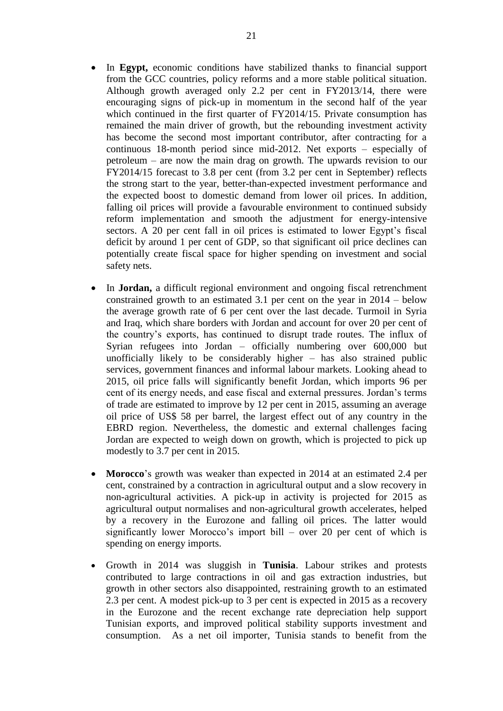- In **Egypt,** economic conditions have stabilized thanks to financial support from the GCC countries, policy reforms and a more stable political situation. Although growth averaged only 2.2 per cent in FY2013/14, there were encouraging signs of pick-up in momentum in the second half of the year which continued in the first quarter of FY2014/15. Private consumption has remained the main driver of growth, but the rebounding investment activity has become the second most important contributor, after contracting for a continuous 18-month period since mid-2012. Net exports – especially of petroleum – are now the main drag on growth. The upwards revision to our FY2014/15 forecast to 3.8 per cent (from 3.2 per cent in September) reflects the strong start to the year, better-than-expected investment performance and the expected boost to domestic demand from lower oil prices. In addition, falling oil prices will provide a favourable environment to continued subsidy reform implementation and smooth the adjustment for energy-intensive sectors. A 20 per cent fall in oil prices is estimated to lower Egypt's fiscal deficit by around 1 per cent of GDP, so that significant oil price declines can potentially create fiscal space for higher spending on investment and social safety nets.
- In **Jordan,** a difficult regional environment and ongoing fiscal retrenchment constrained growth to an estimated 3.1 per cent on the year in 2014 – below the average growth rate of 6 per cent over the last decade. Turmoil in Syria and Iraq, which share borders with Jordan and account for over 20 per cent of the country's exports, has continued to disrupt trade routes. The influx of Syrian refugees into Jordan – officially numbering over 600,000 but unofficially likely to be considerably higher – has also strained public services, government finances and informal labour markets. Looking ahead to 2015, oil price falls will significantly benefit Jordan, which imports 96 per cent of its energy needs, and ease fiscal and external pressures. Jordan's terms of trade are estimated to improve by 12 per cent in 2015, assuming an average oil price of US\$ 58 per barrel, the largest effect out of any country in the EBRD region. Nevertheless, the domestic and external challenges facing Jordan are expected to weigh down on growth, which is projected to pick up modestly to 3.7 per cent in 2015.
- **Morocco**'s growth was weaker than expected in 2014 at an estimated 2.4 per cent, constrained by a contraction in agricultural output and a slow recovery in non-agricultural activities. A pick-up in activity is projected for 2015 as agricultural output normalises and non-agricultural growth accelerates, helped by a recovery in the Eurozone and falling oil prices. The latter would significantly lower Morocco's import bill – over 20 per cent of which is spending on energy imports.
- Growth in 2014 was sluggish in **Tunisia**. Labour strikes and protests contributed to large contractions in oil and gas extraction industries, but growth in other sectors also disappointed, restraining growth to an estimated 2.3 per cent. A modest pick-up to 3 per cent is expected in 2015 as a recovery in the Eurozone and the recent exchange rate depreciation help support Tunisian exports, and improved political stability supports investment and consumption. As a net oil importer, Tunisia stands to benefit from the